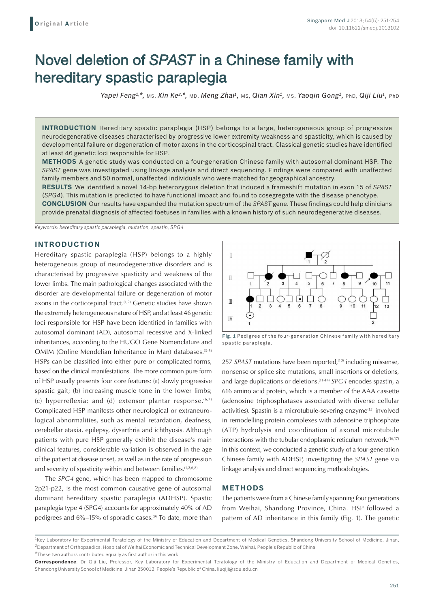# Novel deletion of *SPAST* in a Chinese family with hereditary spastic paraplegia

*Yapei Feng1,\*,* MS, *Xin Ke2,\*,* MD, *Meng Zhai1,* MS, *Qian Xin1,* MS, *Yaoqin Gong1,* PhD, *Qiji Liu1,* PhD

**INTRODUCTION** Hereditary spastic paraplegia (HSP) belongs to a large, heterogeneous group of progressive neurodegenerative diseases characterised by progressive lower extremity weakness and spasticity, which is caused by developmental failure or degeneration of motor axons in the corticospinal tract. Classical genetic studies have identified at least 46 genetic loci responsible for HSP.

**METHODS** A genetic study was conducted on a four-generation Chinese family with autosomal dominant HSP. The *SPAST* gene was investigated using linkage analysis and direct sequencing. Findings were compared with unaffected family members and 50 normal, unaffected individuals who were matched for geographical ancestry.

**RESULTS** We identified a novel 14-bp heterozygous deletion that induced a frameshift mutation in exon 15 of *SPAST*  (*SPG4*). This mutation is predicted to have functional impact and found to cosegregate with the disease phenotype. **CONCLUSION** Our results have expanded the mutation spectrum of the *SPAST* gene. These findings could help clinicians provide prenatal diagnosis of affected foetuses in families with a known history of such neurodegenerative diseases.

*Keywords: hereditary spastic paraplegia, mutation, spastin, SPG4*

## **INTRODUCTION**

Hereditary spastic paraplegia (HSP) belongs to a highly heterogeneous group of neurodegenerative disorders and is characterised by progressive spasticity and weakness of the lower limbs. The main pathological changes associated with the disorder are developmental failure or degeneration of motor axons in the corticospinal tract.<sup>(1,2)</sup> Genetic studies have shown the extremely heterogeneous nature of HSP, and at least 46 genetic loci responsible for HSP have been identified in families with autosomal dominant (AD), autosomal recessive and X-linked inheritances, according to the HUGO Gene Nomenclature and OMIM (Online Mendelian Inheritance in Man) databases.<sup>(3-5)</sup> HSPs can be classified into either pure or complicated forms, based on the clinical manifestations. The more common pure form of HSP usually presents four core features: (a) slowly progressive spastic gait; (b) increasing muscle tone in the lower limbs; (c) hyperreflexia; and (d) extensor plantar response.  $(6,7)$ Complicated HSP manifests other neurological or extraneurological abnormalities, such as mental retardation, deafness, cerebellar ataxia, epilepsy, dysarthria and ichthyosis. Although patients with pure HSP generally exhibit the disease's main clinical features, considerable variation is observed in the age of the patient at disease onset, as well as in the rate of progression and severity of spasticity within and between families.<sup>(1,2,6,8)</sup>

The *SPG4* gene, which has been mapped to chromosome 2p21-p22, is the most common causative gene of autosomal dominant hereditary spastic paraplegia (ADHSP). Spastic paraplegia type 4 (SPG4) accounts for approximately 40% of AD pedigrees and 6%–15% of sporadic cases.<sup>(9)</sup> To date, more than



**Fig. 1** Pedigree of the four-generation Chinese family with hereditary spastic paraplegia.

257 *SPAST* mutations have been reported,<sup>(10)</sup> including missense, nonsense or splice site mutations, small insertions or deletions, and large duplications or deletions.(11-14) *SPG4* encodes spastin, a 616 amino acid protein, which is a member of the AAA cassette (adenosine triphosphatases associated with diverse cellular activities). Spastin is a microtubule-severing enzyme<sup>(15)</sup> involved in remodelling protein complexes with adenosine triphosphate (ATP) hydrolysis and coordination of axonal microtubule interactions with the tubular endoplasmic reticulum network.<sup>(16,17)</sup> In this context, we conducted a genetic study of a four-generation Chinese family with ADHSP, investigating the *SPAST* gene via linkage analysis and direct sequencing methodologies.

#### **METHODS**

The patients were from a Chinese family spanning four generations from Weihai, Shandong Province, China. HSP followed a pattern of AD inheritance in this family (Fig. 1). The genetic

<sup>&</sup>lt;sup>1</sup>Key Laboratory for Experimental Teratology of the Ministry of Education and Department of Medical Genetics, Shandong University School of Medicine, Jinan, 2Department of Orthopaedics, Hospital of Weihai Economic and Technical Development Zone, Weihai, People's Republic of China

<sup>\*</sup>These two authors contributed equally as first author in this work.

**Correspondence**: Dr Qiji Liu, Professor, Key Laboratory for Experimental Teratology of the Ministry of Education and Department of Medical Genetics, Shandong University School of Medicine, Jinan 250012, People's Republic of China. liuqiji@sdu.edu.cn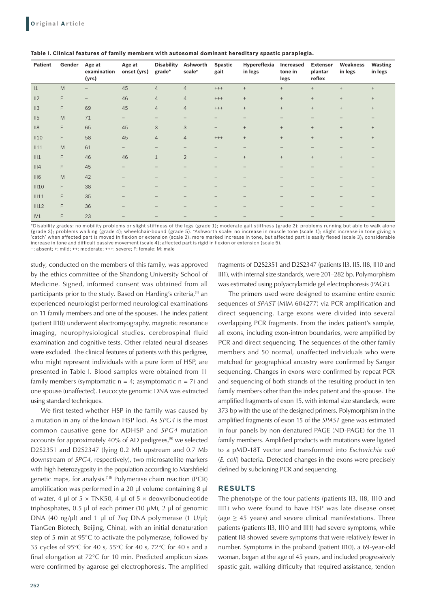| <b>Patient</b>  | Gender | Age at<br>examination<br>(yrs) | Age at<br>onset (yrs) | <b>Disability</b><br>grade* | Ashworth<br>scale <sup>+</sup> | <b>Spastic</b><br>gait | Hypereflexia<br>in legs          | Increased<br>tone in<br>legs | <b>Extensor</b><br>plantar<br>reflex | Weakness<br>in legs | <b>Wasting</b><br>in legs |
|-----------------|--------|--------------------------------|-----------------------|-----------------------------|--------------------------------|------------------------|----------------------------------|------------------------------|--------------------------------------|---------------------|---------------------------|
| 1               | M      |                                | 45                    | $\overline{4}$              | $\overline{4}$                 | $^{+++}$               | $+$                              | $+$                          | $+$                                  | $+$                 | $+$                       |
| II2             | F      | $\qquad \qquad -$              | 46                    | $\overline{4}$              | $\overline{4}$                 | $^{+++}$               | $\begin{array}{c} + \end{array}$ | $^+$                         | $^+$                                 | $^+$                | $^{+}$                    |
| II3             | F      | 69                             | 45                    | $\overline{4}$              | $\overline{4}$                 | $^{+++}$               | $\begin{array}{c} + \end{array}$ | $^+$                         | $+$                                  | $+$                 | $^+$                      |
| II <sub>5</sub> | M      | 71                             | -                     |                             |                                | -                      |                                  |                              |                                      |                     |                           |
| II8             | F      | 65                             | 45                    | 3                           | 3                              | -                      | $^{+}$                           | $^+$                         | $+$                                  | $+$                 | $^{+}$                    |
| II10            | F      | 58                             | 45                    | $\overline{4}$              | $\overline{4}$                 | $^{+++}$               | $+$                              | $^+$                         | $+$                                  | $+$                 | $+$                       |
| II11            | M      | 61                             | -                     |                             |                                |                        |                                  |                              |                                      |                     |                           |
| III1            | F      | 46                             | 46                    | $\mathbf{1}$                | $\overline{2}$                 | -                      | $^{+}$                           | $^+$                         | $+$                                  | $+$                 |                           |
| III4            | F      | 45                             | -                     |                             |                                |                        |                                  |                              |                                      |                     |                           |
| III6            | M      | 42                             | -                     |                             |                                |                        |                                  | -                            |                                      |                     |                           |
| III10           | F      | 38                             |                       |                             |                                |                        |                                  |                              |                                      |                     |                           |
| III11           | F      | 35                             |                       |                             |                                |                        |                                  |                              |                                      |                     |                           |
| III12           | F      | 36                             |                       |                             |                                |                        |                                  |                              |                                      |                     |                           |
| IV1             | F      | 23                             |                       |                             |                                |                        |                                  |                              |                                      |                     |                           |

|  | Table I. Clinical features of family members with autosomal dominant hereditary spastic paraplegia. |
|--|-----------------------------------------------------------------------------------------------------|
|--|-----------------------------------------------------------------------------------------------------|

\*Disability grades: no mobility problems or slight stiffness of the legs (grade 1); moderate gait stiffness (grade 2); problems running but able to walk alone (grade 3); problems walking (grade 4); wheelchair-bound (grade 5). †Ashworth scale: no increase in muscle tone (scale 1); slight increase in tone giving a<br>'catch' when affected part is moved in flexion or extension (scale increase in tone and difficult passive movement (scale 4); affected part is rigid in flexion or extension (scale 5). –: absent; +: mild; ++: moderate; +++: severe; F: female; M: male

study, conducted on the members of this family, was approved by the ethics committee of the Shandong University School of Medicine. Signed, informed consent was obtained from all participants prior to the study. Based on Harding's criteria,<sup>(1)</sup> an experienced neurologist performed neurological examinations on 11 family members and one of the spouses. The index patient (patient II10) underwent electromyography, magnetic resonance imaging, neurophysiological studies, cerebrospinal fluid examination and cognitive tests. Other related neural diseases were excluded. The clinical features of patients with this pedigree, who might represent individuals with a pure form of HSP, are presented in Table I. Blood samples were obtained from 11 family members (symptomatic  $n = 4$ ; asymptomatic  $n = 7$ ) and one spouse (unaffected). Leucocyte genomic DNA was extracted using standard techniques.

We first tested whether HSP in the family was caused by a mutation in any of the known HSP loci. As *SPG4* is the most common causative gene for ADHSP and *SPG4* mutation accounts for approximately 40% of AD pedigrees, $(9)$  we selected D2S2351 and D2S2347 (lying 0.2 Mb upstream and 0.7 Mb downstream of *SPG4*, respectively), two microsatellite markers with high heterozygosity in the population according to Marshfield genetic maps, for analysis.<sup>(18)</sup> Polymerase chain reaction (PCR) amplification was performed in a 20 μl volume containing 8 μl of water, 4 μl of  $5 \times$  TNK50, 4 μl of  $5 \times$  deoxyribonucleotide triphosphates, 0.5 μl of each primer (10 μM), 2 μl of genomic DNA (40 ng/μl) and 1 μl of *Taq* DNA polymerase (1 U/μl; TianGen Biotech, Beijing, China), with an initial denaturation step of 5 min at 95°C to activate the polymerase, followed by 35 cycles of 95°C for 40 s, 55°C for 40 s, 72°C for 40 s and a final elongation at 72°C for 10 min. Predicted amplicon sizes were confirmed by agarose gel electrophoresis. The amplified

fragments of D2S2351 and D2S2347 (patients II3, II5, II8, II10 and III1), with internal size standards, were 201–282 bp. Polymorphism was estimated using polyacrylamide gel electrophoresis (PAGE).

The primers used were designed to examine entire exonic sequences of *SPAST* (MIM 604277) via PCR amplification and direct sequencing. Large exons were divided into several overlapping PCR fragments. From the index patient's sample, all exons, including exon-intron boundaries, were amplified by PCR and direct sequencing. The sequences of the other family members and 50 normal, unaffected individuals who were matched for geographical ancestry were confirmed by Sanger sequencing. Changes in exons were confirmed by repeat PCR and sequencing of both strands of the resulting product in ten family members other than the index patient and the spouse. The amplified fragments of exon 15, with internal size standards, were 373 bp with the use of the designed primers. Polymorphism in the amplified fragments of exon 15 of the *SPAST* gene was estimated in four panels by non-denatured PAGE (ND-PAGE) for the 11 family members. Amplified products with mutations were ligated to a pMD-18T vector and transformed into *Escherichia coli* (*E. coli*) bacteria. Detected changes in the exons were precisely defined by subcloning PCR and sequencing.

#### **RESULTS**

The phenotype of the four patients (patients II3, II8, II10 and III1) who were found to have HSP was late disease onset (age  $\geq$  45 years) and severe clinical manifestations. Three patients (patients II3, II10 and III1) had severe symptoms, while patient II8 showed severe symptoms that were relatively fewer in number. Symptoms in the proband (patient II10), a 69-year-old woman, began at the age of 45 years, and included progressively spastic gait, walking difficulty that required assistance, tendon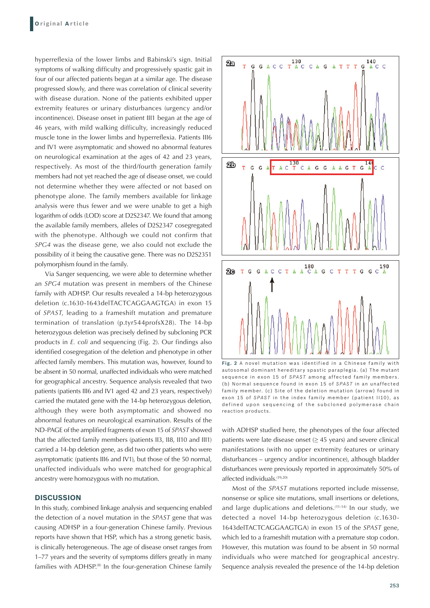hyperreflexia of the lower limbs and Babinski's sign. Initial symptoms of walking difficulty and progressively spastic gait in four of our affected patients began at a similar age. The disease progressed slowly, and there was correlation of clinical severity with disease duration. None of the patients exhibited upper extremity features or urinary disturbances (urgency and/or incontinence). Disease onset in patient III1 began at the age of 46 years, with mild walking difficulty, increasingly reduced muscle tone in the lower limbs and hyperreflexia. Patients III6 and IV1 were asymptomatic and showed no abnormal features on neurological examination at the ages of 42 and 23 years, respectively. As most of the third/fourth generation family members had not yet reached the age of disease onset, we could not determine whether they were affected or not based on phenotype alone. The family members available for linkage analysis were thus fewer and we were unable to get a high logarithm of odds (LOD) score at D2S2347. We found that among the available family members, alleles of D2S2347 cosegregated with the phenotype. Although we could not confirm that *SPG4* was the disease gene, we also could not exclude the possibility of it being the causative gene. There was no D2S2351 polymorphism found in the family.

Via Sanger sequencing, we were able to determine whether an *SPG4* mutation was present in members of the Chinese family with ADHSP. Our results revealed a 14-bp heterozygous deletion (c.1630-1643delTACTCAGGAAGTGA) in exon 15 of *SPAST*, leading to a frameshift mutation and premature termination of translation (p.tyr544profsX28). The 14-bp heterozygous deletion was precisely defined by subcloning PCR products in *E. coli* and sequencing (Fig. 2). Our findings also identified cosegregation of the deletion and phenotype in other affected family members. This mutation was, however, found to be absent in 50 normal, unaffected individuals who were matched for geographical ancestry. Sequence analysis revealed that two patients (patients III6 and IV1 aged 42 and 23 years, respectively) carried the mutated gene with the 14-bp heterozygous deletion, although they were both asymptomatic and showed no abnormal features on neurological examination. Results of the ND-PAGE of the amplified fragments of exon 15 of *SPAST* showed that the affected family members (patients II3, II8, II10 and III1) carried a 14-bp deletion gene, as did two other patients who were asymptomatic (patients III6 and IV1), but those of the 50 normal, unaffected individuals who were matched for geographical ancestry were homozygous with no mutation.

## **DISCUSSION**

In this study, combined linkage analysis and sequencing enabled the detection of a novel mutation in the *SPAST* gene that was causing ADHSP in a four-generation Chinese family. Previous reports have shown that HSP, which has a strong genetic basis, is clinically heterogeneous. The age of disease onset ranges from 1–77 years and the severity of symptoms differs greatly in many families with ADHSP.<sup>(8)</sup> In the four-generation Chinese family



**Fig. 2** A novel mutation was identified in a Chinese family with autosomal dominant hereditary spastic paraplegia. (a) The mutant sequence in exon 15 of *SPAST* among affected family members. (b) Normal sequence found in exon 15 of *SPAST* in an unaffected family member. (c) Site of the deletion mutation (arrow) found in exon 15 of *SPAST* in the index family member (patient II10), as defined upon sequencing of the subcloned polymerase chain reaction products.

with ADHSP studied here, the phenotypes of the four affected patients were late disease onset (≥ 45 years) and severe clinical manifestations (with no upper extremity features or urinary disturbances – urgency and/or incontinence), although bladder disturbances were previously reported in approximately 50% of affected individuals.(19,20)

Most of the *SPAST* mutations reported include missense, nonsense or splice site mutations, small insertions or deletions, and large duplications and deletions.<sup>(11-14)</sup> In our study, we detected a novel 14-bp heterozygous deletion (c.1630- 1643delTACTCAGGAAGTGA) in exon 15 of the *SPAST* gene, which led to a frameshift mutation with a premature stop codon. However, this mutation was found to be absent in 50 normal individuals who were matched for geographical ancestry. Sequence analysis revealed the presence of the 14-bp deletion